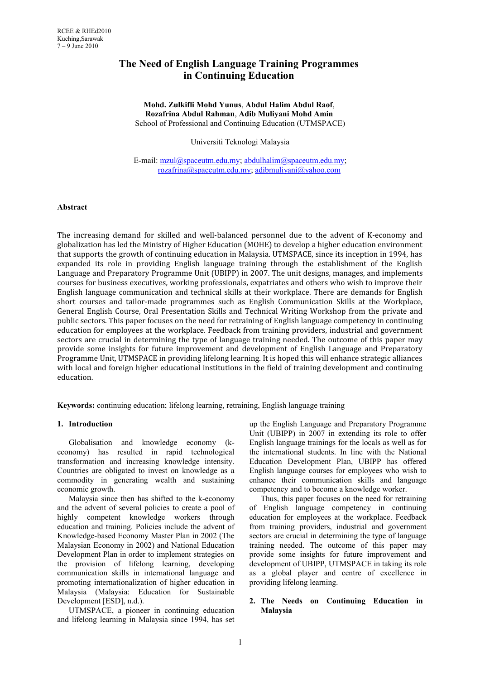# **The Need of English Language Training Programmes in Continuing Education**

#### **Mohd. Zulkifli Mohd Yunus**, **Abdul Halim Abdul Raof**, **Rozafrina Abdul Rahman**, **Adib Muliyani Mohd Amin** School of Professional and Continuing Education (UTMSPACE)

Universiti Teknologi Malaysia

E-mail: [mzul@spaceutm.edu.my;](mailto:mzul@spaceutm.edu.my) [abdulhalim@spaceutm.edu.my;](mailto:abdulhalim@spaceutm.edu.my) [rozafrina@spaceutm.edu.my;](mailto:rozafrina@spaceutm.edu.my) [adibmuliyani@yahoo.com](mailto:adibmuliyani@yahoo.com)

#### **Abstract**

The increasing demand for skilled and well-balanced personnel due to the advent of K-economy and globalization has led the Ministry of Higher Education (MOHE) to develop a higher education environment that supports the growth of continuing education in Malaysia. UTMSPACE, since its inception in 1994, has expanded its role in providing English language training through the establishment of the English Language and Preparatory Programme Unit (UBIPP) in 2007. The unit designs, manages, and implements courses for business executives, working professionals, expatriates and others who wish to improve their English language communication and technical skills at their workplace. There are demands for English short courses and tailor-made programmes such as English Communication Skills at the Workplace, General English Course, Oral Presentation Skills and Technical Writing Workshop from the private and public sectors. This paper focuses on the need for retraining of English language competency in continuing education for employees at the workplace. Feedback from training providers, industrial and government sectors are crucial in determining the type of language training needed. The outcome of this paper may provide some insights for future improvement and development of English Language and Preparatory Programme Unit, UTMSPACE in providing lifelong learning. It is hoped this will enhance strategic alliances with local and foreign higher educational institutions in the field of training development and continuing education.

**Keywords:** continuing education; lifelong learning, retraining, English language training

#### **1. Introduction**

Globalisation and knowledge economy (keconomy) has resulted in rapid technological transformation and increasing knowledge intensity. Countries are obligated to invest on knowledge as a commodity in generating wealth and sustaining economic growth.

Malaysia since then has shifted to the k-economy and the advent of several policies to create a pool of highly competent knowledge workers through education and training. Policies include the advent of Knowledge-based Economy Master Plan in 2002 (The Malaysian Economy in 2002) and National Education Development Plan in order to implement strategies on the provision of lifelong learning, developing communication skills in international language and promoting internationalization of higher education in Malaysia (Malaysia: Education for Sustainable Development [ESD], n.d.).

UTMSPACE, a pioneer in continuing education and lifelong learning in Malaysia since 1994, has set

up the English Language and Preparatory Programme Unit (UBIPP) in 2007 in extending its role to offer English language trainings for the locals as well as for the international students. In line with the National Education Development Plan, UBIPP has offered English language courses for employees who wish to enhance their communication skills and language competency and to become a knowledge worker.

Thus, this paper focuses on the need for retraining of English language competency in continuing education for employees at the workplace. Feedback from training providers, industrial and government sectors are crucial in determining the type of language training needed. The outcome of this paper may provide some insights for future improvement and development of UBIPP, UTMSPACE in taking its role as a global player and centre of excellence in providing lifelong learning.

# **2. The Needs on Continuing Education in Malaysia**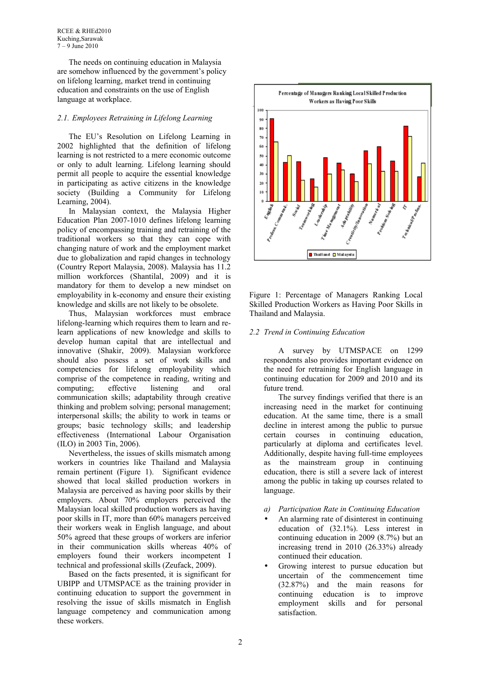The needs on continuing education in Malaysia are somehow influenced by the government's policy on lifelong learning, market trend in continuing education and constraints on the use of English language at workplace.

# *2.1. Employees Retraining in Lifelong Learning*

The EU's Resolution on Lifelong Learning in 2002 highlighted that the definition of lifelong learning is not restricted to a mere economic outcome or only to adult learning. Lifelong learning should permit all people to acquire the essential knowledge in participating as active citizens in the knowledge society (Building a Community for Lifelong Learning, 2004).

In Malaysian context, the Malaysia Higher Education Plan 2007-1010 defines lifelong learning policy of encompassing training and retraining of the traditional workers so that they can cope with changing nature of work and the employment market due to globalization and rapid changes in technology (Country Report Malaysia, 2008). Malaysia has 11.2 million workforces (Shantilal, 2009) and it is mandatory for them to develop a new mindset on employability in k-economy and ensure their existing knowledge and skills are not likely to be obsolete.

Thus, Malaysian workforces must embrace lifelong-learning which requires them to learn and relearn applications of new knowledge and skills to develop human capital that are intellectual and innovative (Shakir, 2009). Malaysian workforce should also possess a set of work skills and competencies for lifelong employability which comprise of the competence in reading, writing and computing; effective listening and oral communication skills; adaptability through creative thinking and problem solving; personal management; interpersonal skills; the ability to work in teams or groups; basic technology skills; and leadership effectiveness (International Labour Organisation (ILO) in 2003 Tin, 2006).

Nevertheless, the issues of skills mismatch among workers in countries like Thailand and Malaysia remain pertinent (Figure 1). Significant evidence showed that local skilled production workers in Malaysia are perceived as having poor skills by their employers. About 70% employers perceived the Malaysian local skilled production workers as having poor skills in IT, more than 60% managers perceived their workers weak in English language, and about 50% agreed that these groups of workers are inferior in their communication skills whereas 40% of employers found their workers incompetent I technical and professional skills (Zeufack, 2009).

Based on the facts presented, it is significant for UBIPP and UTMSPACE as the training provider in continuing education to support the government in resolving the issue of skills mismatch in English language competency and communication among these workers.



Figure 1: Percentage of Managers Ranking Local Skilled Production Workers as Having Poor Skills in Thailand and Malaysia.

## *2.2 Trend in Continuing Education*

A survey by UTMSPACE on 1299 respondents also provides important evidence on the need for retraining for English language in continuing education for 2009 and 2010 and its future trend.

The survey findings verified that there is an increasing need in the market for continuing education. At the same time, there is a small decline in interest among the public to pursue certain courses in continuing education, particularly at diploma and certificates level. Additionally, despite having full-time employees as the mainstream group in continuing education, there is still a severe lack of interest among the public in taking up courses related to language.

- *a) Participation Rate in Continuing Education*
- An alarming rate of disinterest in continuing education of (32.1%). Less interest in continuing education in 2009 (8.7%) but an increasing trend in 2010 (26.33%) already continued their education.
- Growing interest to pursue education but uncertain of the commencement time (32.87%) and the main reasons for continuing education is to improve employment skills and for personal satisfaction.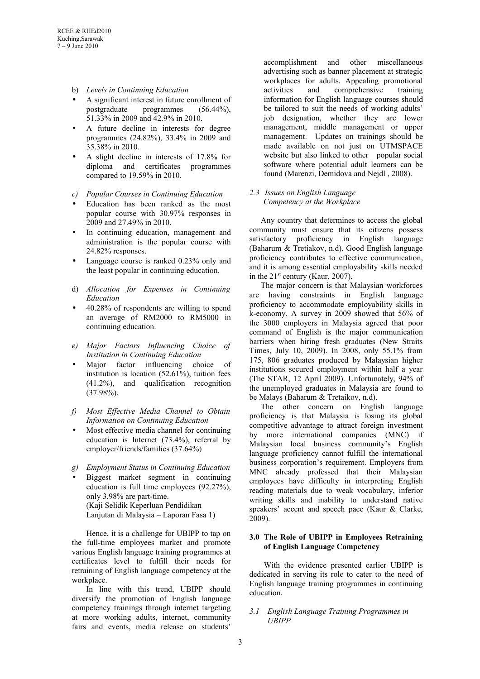- b) *Levels in Continuing Education*
- A significant interest in future enrollment of postgraduate programmes (56.44%), 51.33% in 2009 and 42.9% in 2010.
- A future decline in interests for degree programmes (24.82%), 33.4% in 2009 and 35.38% in 2010.
- A slight decline in interests of 17.8% for diploma and certificates programmes compared to 19.59% in 2010.
- *c) Popular Courses in Continuing Education*
- Education has been ranked as the most popular course with 30.97% responses in 2009 and 27.49% in 2010.
- In continuing education, management and administration is the popular course with 24.82% responses.
- Language course is ranked 0.23% only and the least popular in continuing education.
- d) *Allocation for Expenses in Continuing Education*
- 40.28% of respondents are willing to spend an average of RM2000 to RM5000 in continuing education.
- *e) Major Factors Influencing Choice of Institution in Continuing Education*
- Major factor influencing choice of institution is location (52.61%), tuition fees (41.2%), and qualification recognition (37.98%).
- *f) Most Effective Media Channel to Obtain Information on Continuing Education*
- Most effective media channel for continuing education is Internet (73.4%), referral by employer/friends/families (37.64%)
- *g) Employment Status in Continuing Education*
- Biggest market segment in continuing education is full time employees (92.27%), only 3.98% are part-time. (Kaji Selidik Keperluan Pendidikan Lanjutan di Malaysia – Laporan Fasa 1)

Hence, it is a challenge for UBIPP to tap on the full-time employees market and promote various English language training programmes at certificates level to fulfill their needs for retraining of English language competency at the workplace.

In line with this trend, UBIPP should diversify the promotion of English language competency trainings through internet targeting at more working adults, internet, community fairs and events, media release on students'

accomplishment and other miscellaneous advertising such as banner placement at strategic workplaces for adults. Appealing promotional activities and comprehensive training information for English language courses should be tailored to suit the needs of working adults' job designation, whether they are lower management, middle management or upper management. Updates on trainings should be made available on not just on UTMSPACE website but also linked to other popular social software where potential adult learners can be found (Marenzi, Demidova and Nejdl , 2008).

## *2.3 Issues on English Language Competency at the Workplace*

Any country that determines to access the global community must ensure that its citizens possess satisfactory proficiency in English language (Baharum & Tretiakov, n.d). Good English language proficiency contributes to effective communication, and it is among essential employability skills needed in the  $21<sup>st</sup>$  century (Kaur, 2007).

The major concern is that Malaysian workforces are having constraints in English language proficiency to accommodate employability skills in k-economy. A survey in 2009 showed that 56% of the 3000 employers in Malaysia agreed that poor command of English is the major communication barriers when hiring fresh graduates (New Straits Times, July 10, 2009). In 2008, only 55.1% from 175, 806 graduates produced by Malaysian higher institutions secured employment within half a year (The STAR, 12 April 2009). Unfortunately, 94% of the unemployed graduates in Malaysia are found to be Malays (Baharum & Tretaikov, n.d).

The other concern on English language proficiency is that Malaysia is losing its global competitive advantage to attract foreign investment by more international companies (MNC) if Malaysian local business community's English language proficiency cannot fulfill the international business corporation's requirement. Employers from MNC already professed that their Malaysian employees have difficulty in interpreting English reading materials due to weak vocabulary, inferior writing skills and inability to understand native speakers' accent and speech pace (Kaur & Clarke, 2009).

## **3.0 The Role of UBIPP in Employees Retraining of English Language Competency**

With the evidence presented earlier UBIPP is dedicated in serving its role to cater to the need of English language training programmes in continuing education.

## *3.1 English Language Training Programmes in UBIPP*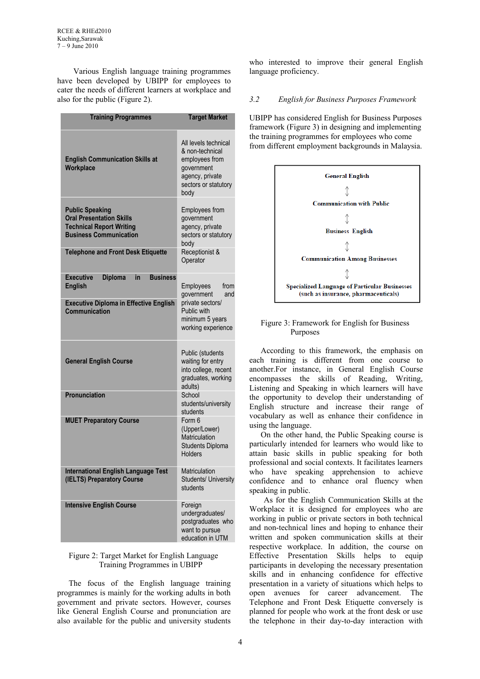RCEE & RHEd2010 Kuching,Sarawak 7 – 9 June 2010

 Various English language training programmes have been developed by UBIPP for employees to cater the needs of different learners at workplace and also for the public (Figure 2).

| <b>Training Programmes</b>                                                                                                    | <b>Target Market</b>                                                                                                       |  |  |
|-------------------------------------------------------------------------------------------------------------------------------|----------------------------------------------------------------------------------------------------------------------------|--|--|
| <b>English Communication Skills at</b><br>Workplace                                                                           | All levels technical<br>& non-technical<br>employees from<br>government<br>agency, private<br>sectors or statutory<br>body |  |  |
| <b>Public Speaking</b><br><b>Oral Presentation Skills</b><br><b>Technical Report Writing</b><br><b>Business Communication</b> | Employees from<br>government<br>agency, private<br>sectors or statutory<br>body                                            |  |  |
| <b>Telephone and Front Desk Etiquette</b>                                                                                     | Receptionist &<br>Operator                                                                                                 |  |  |
| <b>Business</b><br><b>Executive</b><br><b>Diploma</b><br>in<br><b>English</b>                                                 | Employees<br>from<br>government<br>and<br>private sectors/<br>Public with<br>minimum 5 years<br>working experience         |  |  |
| <b>Executive Diploma in Effective English</b><br>Communication                                                                |                                                                                                                            |  |  |
| <b>General English Course</b>                                                                                                 | Public (students<br>waiting for entry<br>into college, recent<br>graduates, working<br>adults)                             |  |  |
| Pronunciation                                                                                                                 | School<br>students/university<br>students                                                                                  |  |  |
| <b>MUET Preparatory Course</b>                                                                                                | Form 6<br>(Upper/Lower)<br>Matriculation<br><b>Students Diploma</b><br>Holders                                             |  |  |
| <b>International English Language Test</b><br>(IELTS) Preparatory Course                                                      | Matriculation<br><b>Students/ University</b><br>students                                                                   |  |  |
| <b>Intensive English Course</b>                                                                                               | Foreign<br>undergraduates/<br>postgraduates who<br>want to pursue<br>education in UTM                                      |  |  |

#### Figure 2: Target Market for English Language Training Programmes in UBIPP

The focus of the English language training programmes is mainly for the working adults in both government and private sectors. However, courses like General English Course and pronunciation are also available for the public and university students

who interested to improve their general English language proficiency.

# *3.2 English for Business Purposes Framework*

UBIPP has considered English for Business Purposes framework (Figure 3) in designing and implementing the training programmes for employees who come from different employment backgrounds in Malaysia.



### Figure 3: Framework for English for Business Purposes

According to this framework, the emphasis on each training is different from one course to another.For instance, in General English Course encompasses the skills of Reading, Writing, Listening and Speaking in which learners will have the opportunity to develop their understanding of English structure and increase their range of vocabulary as well as enhance their confidence in using the language.

On the other hand, the Public Speaking course is particularly intended for learners who would like to attain basic skills in public speaking for both professional and social contexts. It facilitates learners who have speaking apprehension to achieve confidence and to enhance oral fluency when speaking in public.

As for the English Communication Skills at the Workplace it is designed for employees who are working in public or private sectors in both technical and non-technical lines and hoping to enhance their written and spoken communication skills at their respective workplace. In addition, the course on Effective Presentation Skills helps to equip participants in developing the necessary presentation skills and in enhancing confidence for effective presentation in a variety of situations which helps to open avenues for career advancement. The Telephone and Front Desk Etiquette conversely is planned for people who work at the front desk or use the telephone in their day-to-day interaction with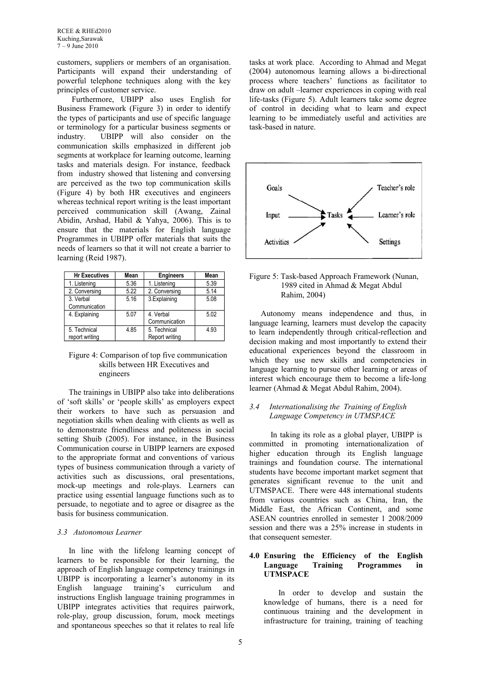RCEE & RHEd2010 Kuching,Sarawak 7 – 9 June 2010

customers, suppliers or members of an organisation. Participants will expand their understanding of powerful telephone techniques along with the key principles of customer service.

Furthermore, UBIPP also uses English for Business Framework (Figure 3) in order to identify the types of participants and use of specific language or terminology for a particular business segments or industry. UBIPP will also consider on the communication skills emphasized in different job segments at workplace for learning outcome, learning tasks and materials design. For instance, feedback from industry showed that listening and conversing are perceived as the two top communication skills (Figure 4) by both HR executives and engineers whereas technical report writing is the least important perceived communication skill (Awang, Zainal Abidin, Arshad, Habil & Yahya, 2006). This is to ensure that the materials for English language Programmes in UBIPP offer materials that suits the needs of learners so that it will not create a barrier to learning (Reid 1987).

| <b>Hr Executives</b> | Mean | <b>Engineers</b> | Mean  |
|----------------------|------|------------------|-------|
| 1. Listening         | 5.36 | 1. Listening     | 5.39  |
| 2. Conversing        | 5.22 | 2. Conversing    | 5.14  |
| 3. Verbal            | 5.16 | 3.Explaining     | 5.08  |
| Communication        |      |                  |       |
| 4. Explaining        | 5.07 | 4. Verbal        | 5.02  |
|                      |      | Communication    |       |
| 5. Technical         | 4.85 | 5. Technical     | 4 9 3 |
| report writing       |      | Report writing   |       |

### Figure 4: Comparison of top five communication skills between HR Executives and engineers

The trainings in UBIPP also take into deliberations of 'soft skills' or 'people skills' as employers expect their workers to have such as persuasion and negotiation skills when dealing with clients as well as to demonstrate friendliness and politeness in social setting Shuib (2005). For instance, in the Business Communication course in UBIPP learners are exposed to the appropriate format and conventions of various types of business communication through a variety of activities such as discussions, oral presentations, mock-up meetings and role-plays. Learners can practice using essential language functions such as to persuade, to negotiate and to agree or disagree as the basis for business communication.

#### *3.3 Autonomous Learner*

In line with the lifelong learning concept of learners to be responsible for their learning, the approach of English language competency trainings in UBIPP is incorporating a learner's autonomy in its English language training's curriculum and instructions English language training programmes in UBIPP integrates activities that requires pairwork, role-play, group discussion, forum, mock meetings and spontaneous speeches so that it relates to real life

tasks at work place. According to Ahmad and Megat (2004) autonomous learning allows a bi-directional process where teachers' functions as facilitator to draw on adult –learner experiences in coping with real life-tasks (Figure 5). Adult learners take some degree of control in deciding what to learn and expect learning to be immediately useful and activities are task-based in nature.



### Figure 5: Task-based Approach Framework (Nunan, 1989 cited in Ahmad & Megat Abdul Rahim, 2004)

Autonomy means independence and thus, in language learning, learners must develop the capacity to learn independently through critical-reflection and decision making and most importantly to extend their educational experiences beyond the classroom in which they use new skills and competencies in language learning to pursue other learning or areas of interest which encourage them to become a life-long learner (Ahmad & Megat Abdul Rahim, 2004).

#### *3.4 Internationalising the Training of English Language Competency in UTMSPACE*

 In taking its role as a global player, UBIPP is committed in promoting internationalization of higher education through its English language trainings and foundation course. The international students have become important market segment that generates significant revenue to the unit and UTMSPACE. There were 448 international students from various countries such as China, Iran, the Middle East, the African Continent, and some ASEAN countries enrolled in semester 1 2008/2009 session and there was a 25% increase in students in that consequent semester.

## **4.0 Ensuring the Efficiency of the English Language Training Programmes in UTMSPACE**

In order to develop and sustain the knowledge of humans, there is a need for continuous training and the development in infrastructure for training, training of teaching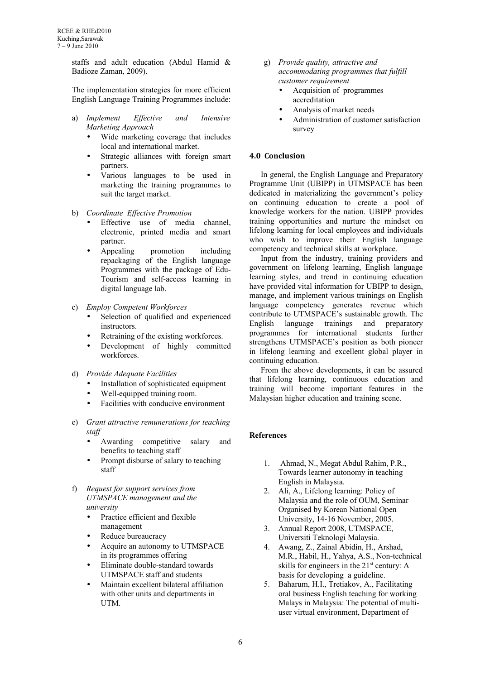staffs and adult education (Abdul Hamid & Badioze Zaman, 2009).

The implementation strategies for more efficient English Language Training Programmes include:

- a) *Implement Effective and Intensive Marketing Approach*
	- Wide marketing coverage that includes local and international market.
	- Strategic alliances with foreign smart partners.
	- Various languages to be used in marketing the training programmes to suit the target market.
- b) *Coordinate Effective Promotion*
	- Effective use of media channel, electronic, printed media and smart partner.
	- Appealing promotion including repackaging of the English language Programmes with the package of Edu-Tourism and self-access learning in digital language lab.
- c) *Employ Competent Workforces*
	- Selection of qualified and experienced instructors.
	- Retraining of the existing workforces.
	- Development of highly committed workforces.
- d) *Provide Adequate Facilities*
	- Installation of sophisticated equipment
	- Well-equipped training room.
	- Facilities with conducive environment
- e) *Grant attractive remunerations for teaching staff*
	- Awarding competitive salary and benefits to teaching staff
	- Prompt disburse of salary to teaching staff
- f) *Request for support services from UTMSPACE management and the university*
	- Practice efficient and flexible management
	- Reduce bureaucracy
	- Acquire an autonomy to UTMSPACE in its programmes offering
	- Eliminate double-standard towards UTMSPACE staff and students
	- Maintain excellent bilateral affiliation with other units and departments in UTM.
- g) *Provide quality, attractive and accommodating programmes that fulfill customer requirement*
	- Acquisition of programmes accreditation
	- Analysis of market needs
	- Administration of customer satisfaction survey

# **4.0 Conclusion**

In general, the English Language and Preparatory Programme Unit (UBIPP) in UTMSPACE has been dedicated in materializing the government's policy on continuing education to create a pool of knowledge workers for the nation. UBIPP provides training opportunities and nurture the mindset on lifelong learning for local employees and individuals who wish to improve their English language competency and technical skills at workplace.

Input from the industry, training providers and government on lifelong learning, English language learning styles, and trend in continuing education have provided vital information for UBIPP to design, manage, and implement various trainings on English language competency generates revenue which contribute to UTMSPACE's sustainable growth. The English language trainings and preparatory programmes for international students further strengthens UTMSPACE's position as both pioneer in lifelong learning and excellent global player in continuing education.

From the above developments, it can be assured that lifelong learning, continuous education and training will become important features in the Malaysian higher education and training scene.

# **References**

- 1. Ahmad, N., Megat Abdul Rahim, P.R., Towards learner autonomy in teaching English in Malaysia.
- 2. Ali, A., Lifelong learning: Policy of Malaysia and the role of OUM, Seminar Organised by Korean National Open University, 14-16 November, 2005.
- 3. Annual Report 2008, UTMSPACE, Universiti Teknologi Malaysia.
- 4. Awang, Z., Zainal Abidin, H., Arshad, M.R., Habil, H., Yahya, A.S., Non-technical skills for engineers in the  $21<sup>st</sup>$  century: A basis for developing a guideline.
- 5. Baharum, H.I., Tretiakov, A., Facilitating oral business English teaching for working Malays in Malaysia: The potential of multiuser virtual environment, Department of